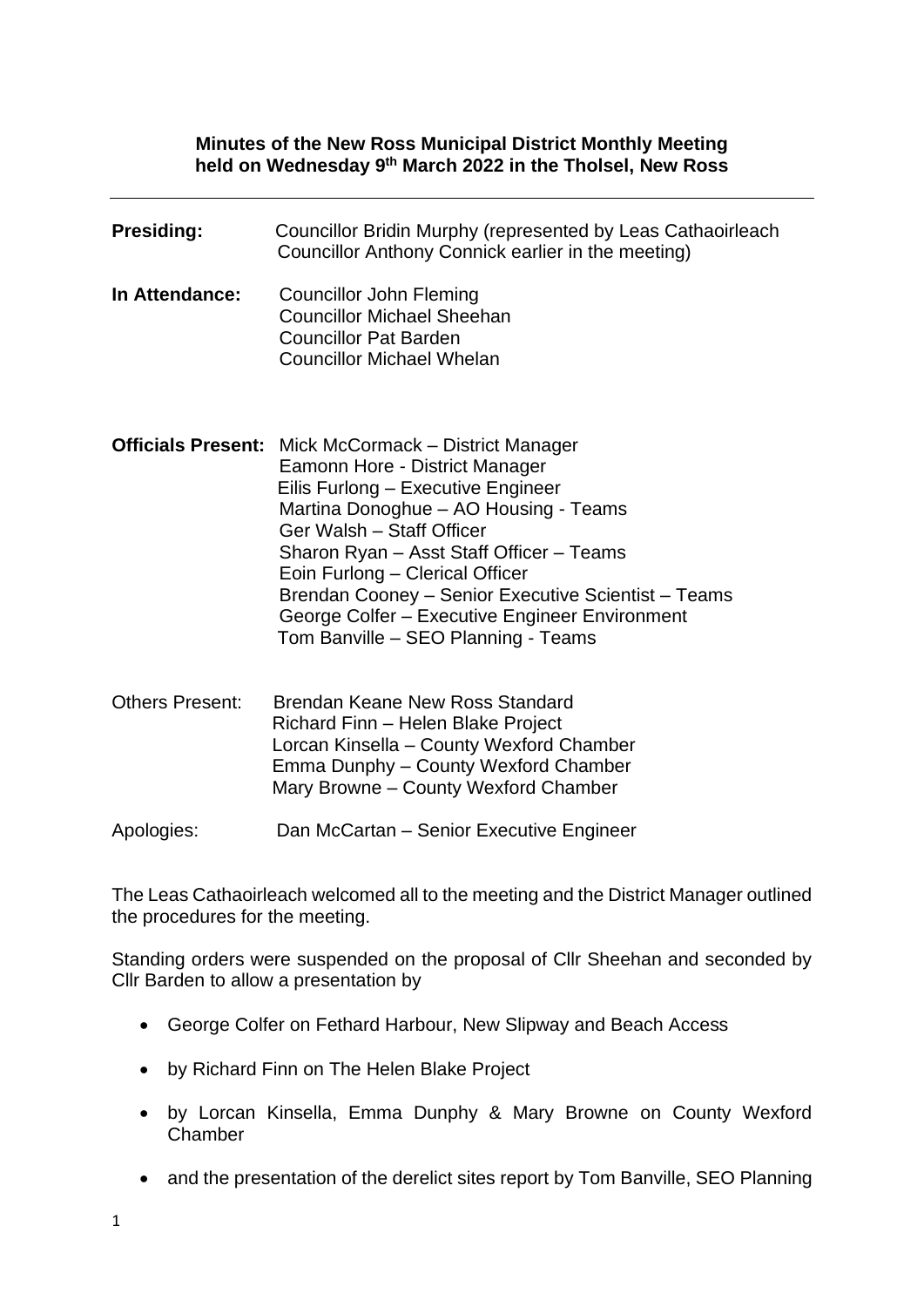#### **Minutes of the New Ross Municipal District Monthly Meeting held on Wednesday 9 th March 2022 in the Tholsel, New Ross**

| <b>Presiding:</b>      | Councillor Bridin Murphy (represented by Leas Cathaoirleach<br>Councillor Anthony Connick earlier in the meeting)                                                                                                                                                                                                                                                                                                                        |
|------------------------|------------------------------------------------------------------------------------------------------------------------------------------------------------------------------------------------------------------------------------------------------------------------------------------------------------------------------------------------------------------------------------------------------------------------------------------|
| In Attendance:         | Councillor John Fleming<br><b>Councillor Michael Sheehan</b><br><b>Councillor Pat Barden</b><br><b>Councillor Michael Whelan</b>                                                                                                                                                                                                                                                                                                         |
|                        | <b>Officials Present:</b> Mick McCormack – District Manager<br>Eamonn Hore - District Manager<br>Eilis Furlong - Executive Engineer<br>Martina Donoghue - AO Housing - Teams<br>Ger Walsh - Staff Officer<br>Sharon Ryan - Asst Staff Officer - Teams<br>Eoin Furlong - Clerical Officer<br>Brendan Cooney - Senior Executive Scientist - Teams<br>George Colfer - Executive Engineer Environment<br>Tom Banville - SEO Planning - Teams |
| <b>Others Present:</b> | Brendan Keane New Ross Standard<br>Richard Finn - Helen Blake Project<br>Lorcan Kinsella - County Wexford Chamber<br>Emma Dunphy - County Wexford Chamber<br>Mary Browne - County Wexford Chamber                                                                                                                                                                                                                                        |
| Apologies:             | Dan McCartan - Senior Executive Engineer                                                                                                                                                                                                                                                                                                                                                                                                 |

The Leas Cathaoirleach welcomed all to the meeting and the District Manager outlined the procedures for the meeting.

Standing orders were suspended on the proposal of Cllr Sheehan and seconded by Cllr Barden to allow a presentation by

- George Colfer on Fethard Harbour, New Slipway and Beach Access
- by Richard Finn on The Helen Blake Project
- by Lorcan Kinsella, Emma Dunphy & Mary Browne on County Wexford Chamber
- and the presentation of the derelict sites report by Tom Banville, SEO Planning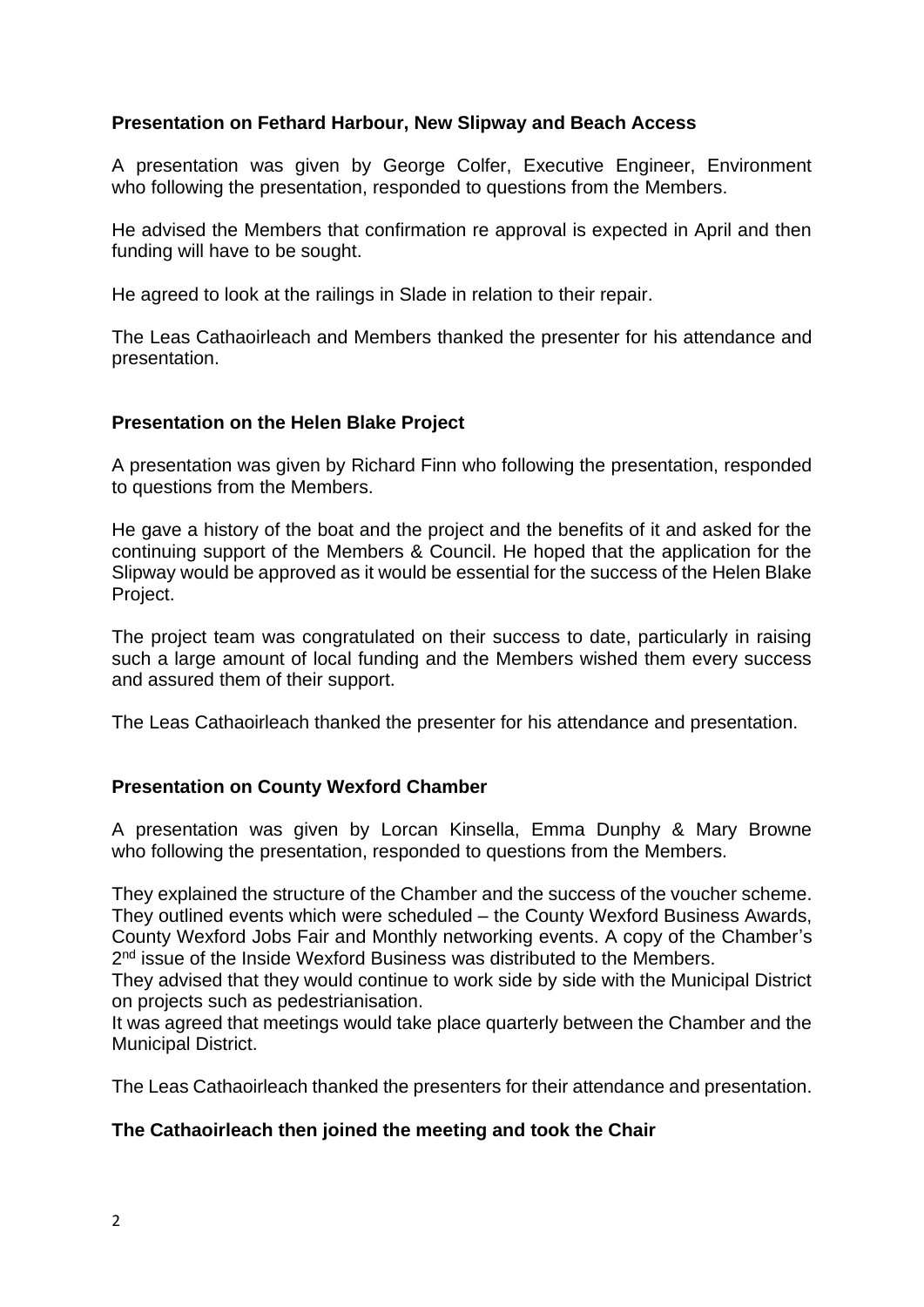# **Presentation on Fethard Harbour, New Slipway and Beach Access**

A presentation was given by George Colfer, Executive Engineer, Environment who following the presentation, responded to questions from the Members.

He advised the Members that confirmation re approval is expected in April and then funding will have to be sought.

He agreed to look at the railings in Slade in relation to their repair.

The Leas Cathaoirleach and Members thanked the presenter for his attendance and presentation.

### **Presentation on the Helen Blake Project**

A presentation was given by Richard Finn who following the presentation, responded to questions from the Members.

He gave a history of the boat and the project and the benefits of it and asked for the continuing support of the Members & Council. He hoped that the application for the Slipway would be approved as it would be essential for the success of the Helen Blake Project.

The project team was congratulated on their success to date, particularly in raising such a large amount of local funding and the Members wished them every success and assured them of their support.

The Leas Cathaoirleach thanked the presenter for his attendance and presentation.

### **Presentation on County Wexford Chamber**

A presentation was given by Lorcan Kinsella, Emma Dunphy & Mary Browne who following the presentation, responded to questions from the Members.

They explained the structure of the Chamber and the success of the voucher scheme. They outlined events which were scheduled – the County Wexford Business Awards, County Wexford Jobs Fair and Monthly networking events. A copy of the Chamber's 2<sup>nd</sup> issue of the Inside Wexford Business was distributed to the Members.

They advised that they would continue to work side by side with the Municipal District on projects such as pedestrianisation.

It was agreed that meetings would take place quarterly between the Chamber and the Municipal District.

The Leas Cathaoirleach thanked the presenters for their attendance and presentation.

### **The Cathaoirleach then joined the meeting and took the Chair**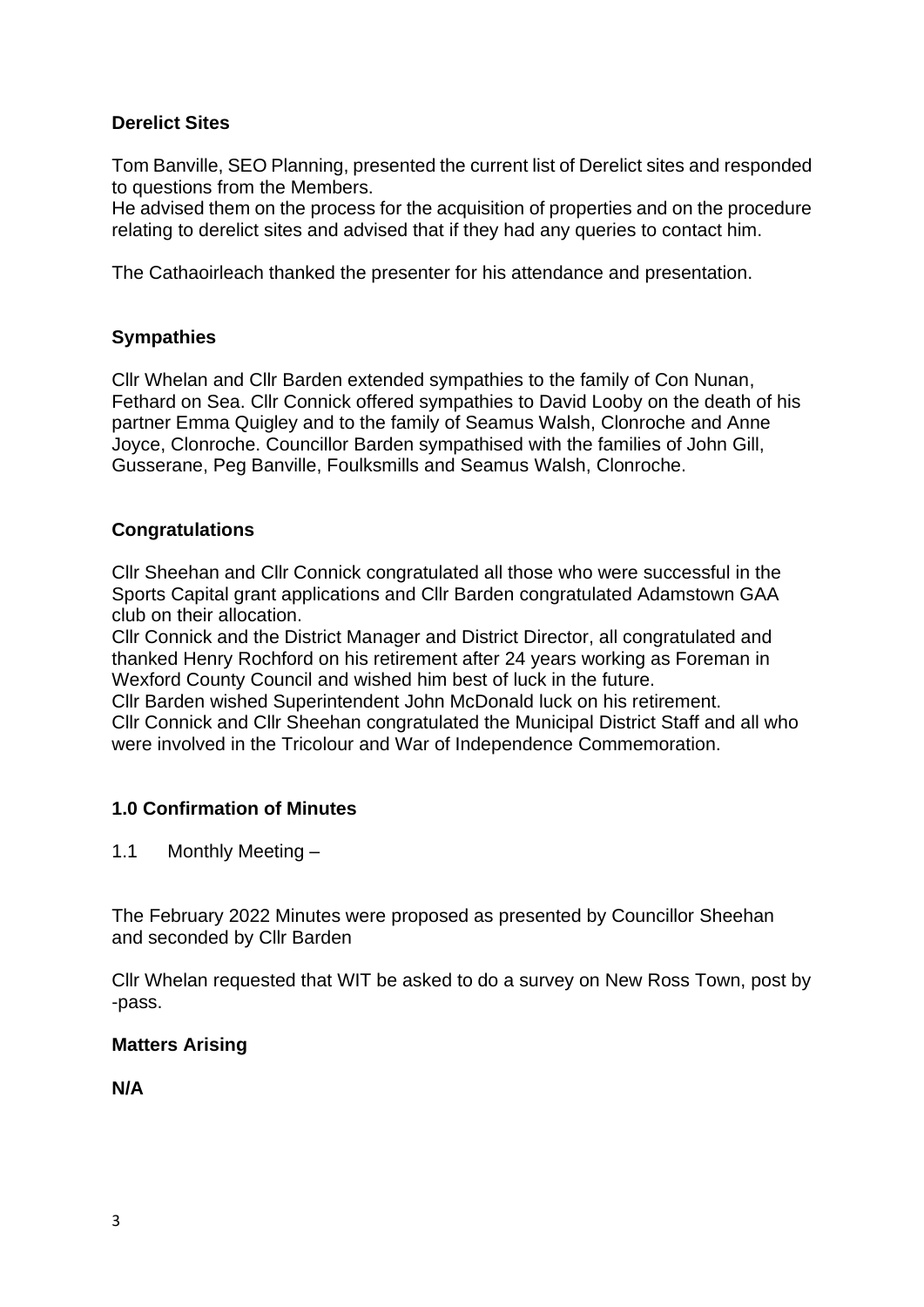# **Derelict Sites**

Tom Banville, SEO Planning, presented the current list of Derelict sites and responded to questions from the Members.

He advised them on the process for the acquisition of properties and on the procedure relating to derelict sites and advised that if they had any queries to contact him.

The Cathaoirleach thanked the presenter for his attendance and presentation.

## **Sympathies**

Cllr Whelan and Cllr Barden extended sympathies to the family of Con Nunan, Fethard on Sea. Cllr Connick offered sympathies to David Looby on the death of his partner Emma Quigley and to the family of Seamus Walsh, Clonroche and Anne Joyce, Clonroche. Councillor Barden sympathised with the families of John Gill, Gusserane, Peg Banville, Foulksmills and Seamus Walsh, Clonroche.

### **Congratulations**

Cllr Sheehan and Cllr Connick congratulated all those who were successful in the Sports Capital grant applications and Cllr Barden congratulated Adamstown GAA club on their allocation.

Cllr Connick and the District Manager and District Director, all congratulated and thanked Henry Rochford on his retirement after 24 years working as Foreman in Wexford County Council and wished him best of luck in the future.

Cllr Barden wished Superintendent John McDonald luck on his retirement. Cllr Connick and Cllr Sheehan congratulated the Municipal District Staff and all who were involved in the Tricolour and War of Independence Commemoration.

# **1.0 Confirmation of Minutes**

1.1 Monthly Meeting –

The February 2022 Minutes were proposed as presented by Councillor Sheehan and seconded by Cllr Barden

Cllr Whelan requested that WIT be asked to do a survey on New Ross Town, post by -pass.

### **Matters Arising**

**N/A**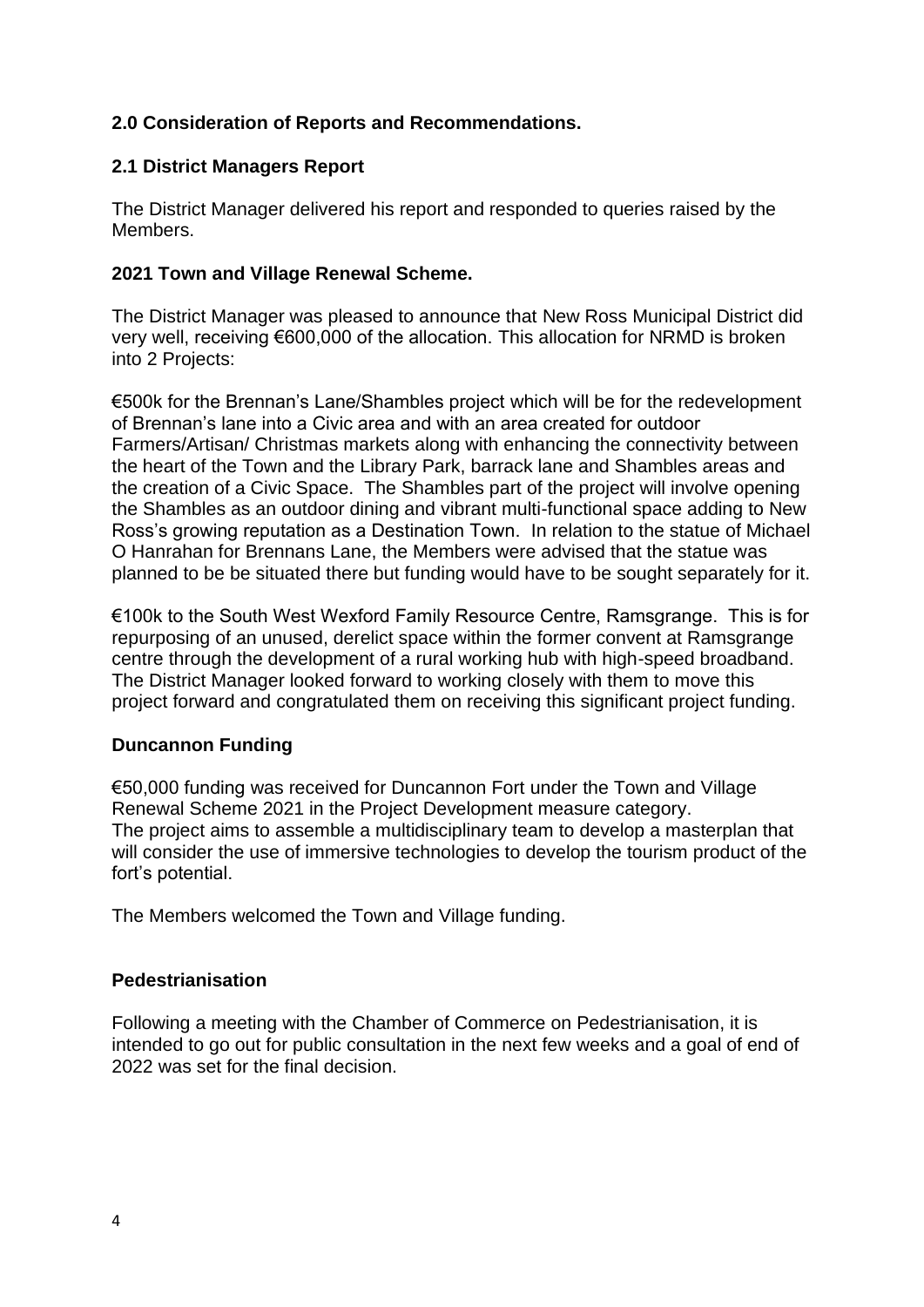# **2.0 Consideration of Reports and Recommendations.**

### **2.1 District Managers Report**

The District Manager delivered his report and responded to queries raised by the Members.

### **2021 Town and Village Renewal Scheme.**

The District Manager was pleased to announce that New Ross Municipal District did very well, receiving €600,000 of the allocation. This allocation for NRMD is broken into 2 Projects:

€500k for the Brennan's Lane/Shambles project which will be for the redevelopment of Brennan's lane into a Civic area and with an area created for outdoor Farmers/Artisan/ Christmas markets along with enhancing the connectivity between the heart of the Town and the Library Park, barrack lane and Shambles areas and the creation of a Civic Space. The Shambles part of the project will involve opening the Shambles as an outdoor dining and vibrant multi-functional space adding to New Ross's growing reputation as a Destination Town. In relation to the statue of Michael O Hanrahan for Brennans Lane, the Members were advised that the statue was planned to be be situated there but funding would have to be sought separately for it.

€100k to the South West Wexford Family Resource Centre, Ramsgrange. This is for repurposing of an unused, derelict space within the former convent at Ramsgrange centre through the development of a rural working hub with high-speed broadband. The District Manager looked forward to working closely with them to move this project forward and congratulated them on receiving this significant project funding.

### **Duncannon Funding**

€50,000 funding was received for Duncannon Fort under the Town and Village Renewal Scheme 2021 in the Project Development measure category. The project aims to assemble a multidisciplinary team to develop a masterplan that will consider the use of immersive technologies to develop the tourism product of the fort's potential.

The Members welcomed the Town and Village funding.

### **Pedestrianisation**

Following a meeting with the Chamber of Commerce on Pedestrianisation, it is intended to go out for public consultation in the next few weeks and a goal of end of 2022 was set for the final decision.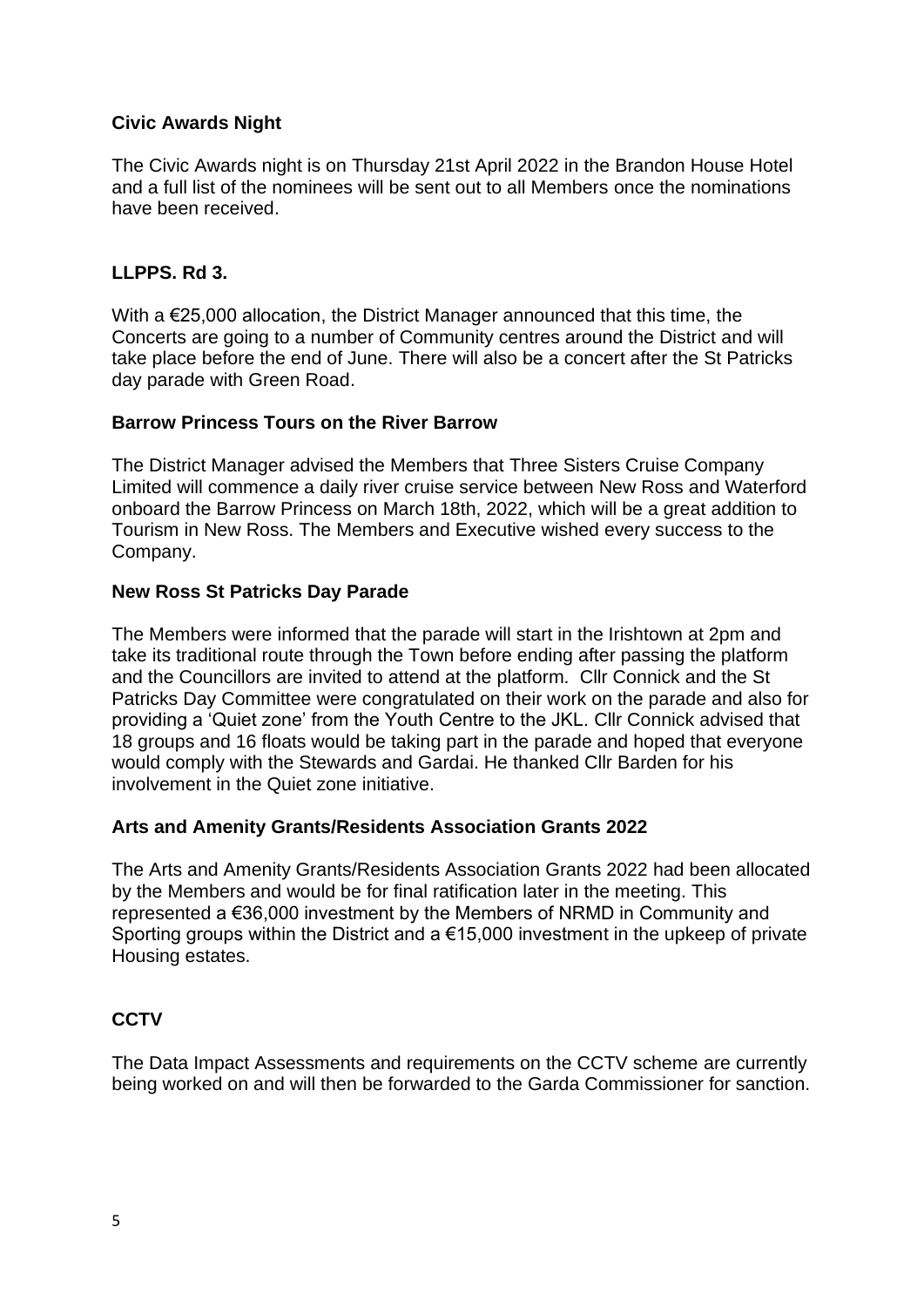# **Civic Awards Night**

The Civic Awards night is on Thursday 21st April 2022 in the Brandon House Hotel and a full list of the nominees will be sent out to all Members once the nominations have been received.

## **LLPPS. Rd 3.**

With a €25,000 allocation, the District Manager announced that this time, the Concerts are going to a number of Community centres around the District and will take place before the end of June. There will also be a concert after the St Patricks day parade with Green Road.

### **Barrow Princess Tours on the River Barrow**

The District Manager advised the Members that Three Sisters Cruise Company Limited will commence a daily river cruise service between New Ross and Waterford onboard the Barrow Princess on March 18th, 2022, which will be a great addition to Tourism in New Ross. The Members and Executive wished every success to the Company.

### **New Ross St Patricks Day Parade**

The Members were informed that the parade will start in the Irishtown at 2pm and take its traditional route through the Town before ending after passing the platform and the Councillors are invited to attend at the platform. Cllr Connick and the St Patricks Day Committee were congratulated on their work on the parade and also for providing a 'Quiet zone' from the Youth Centre to the JKL. Cllr Connick advised that 18 groups and 16 floats would be taking part in the parade and hoped that everyone would comply with the Stewards and Gardai. He thanked Cllr Barden for his involvement in the Quiet zone initiative.

### **Arts and Amenity Grants/Residents Association Grants 2022**

The Arts and Amenity Grants/Residents Association Grants 2022 had been allocated by the Members and would be for final ratification later in the meeting. This represented a €36,000 investment by the Members of NRMD in Community and Sporting groups within the District and a €15,000 investment in the upkeep of private Housing estates.

# **CCTV**

The Data Impact Assessments and requirements on the CCTV scheme are currently being worked on and will then be forwarded to the Garda Commissioner for sanction.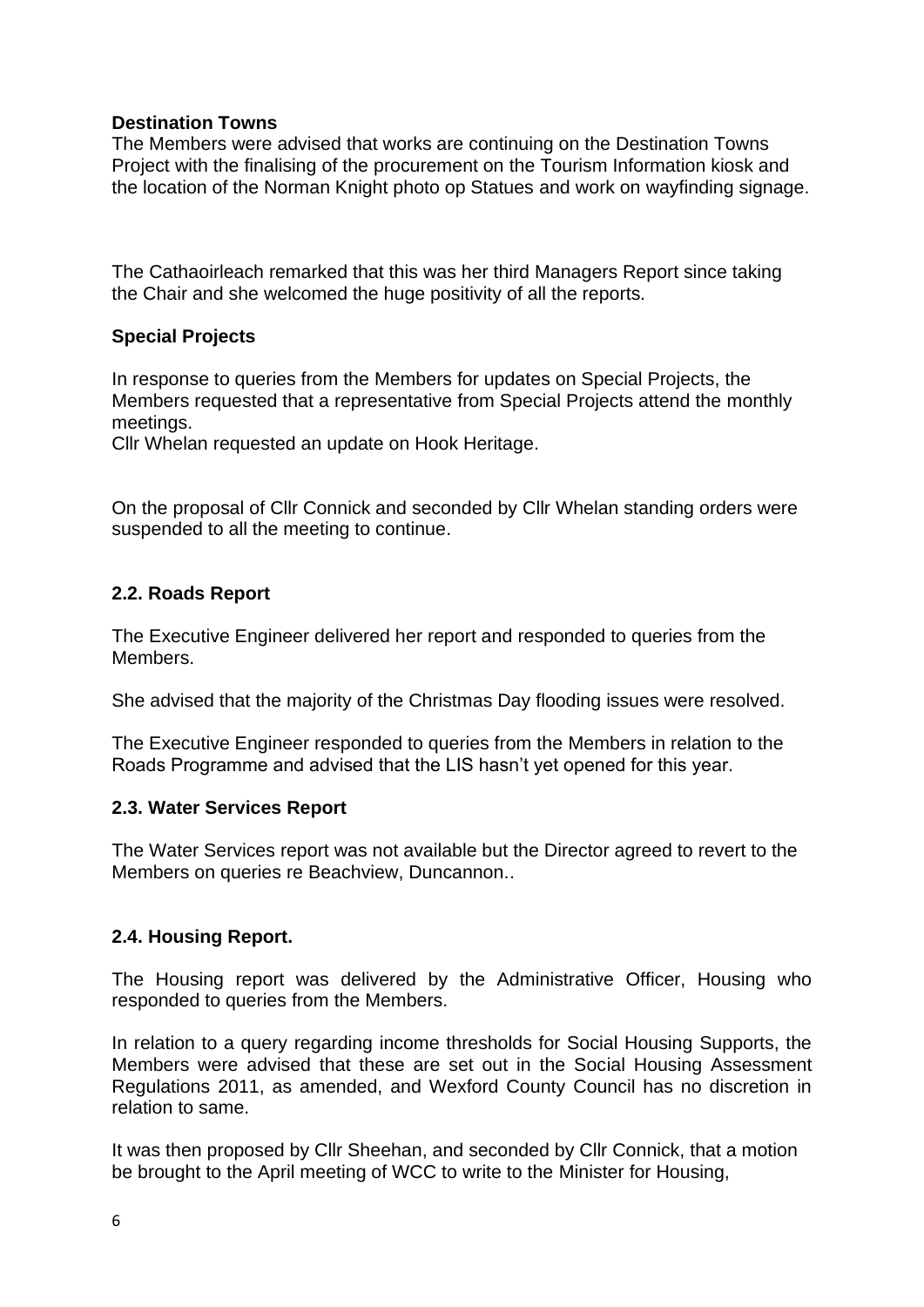# **Destination Towns**

The Members were advised that works are continuing on the Destination Towns Project with the finalising of the procurement on the Tourism Information kiosk and the location of the Norman Knight photo op Statues and work on wayfinding signage.

The Cathaoirleach remarked that this was her third Managers Report since taking the Chair and she welcomed the huge positivity of all the reports.

## **Special Projects**

In response to queries from the Members for updates on Special Projects, the Members requested that a representative from Special Projects attend the monthly meetings.

Cllr Whelan requested an update on Hook Heritage.

On the proposal of Cllr Connick and seconded by Cllr Whelan standing orders were suspended to all the meeting to continue.

## **2.2. Roads Report**

The Executive Engineer delivered her report and responded to queries from the Members.

She advised that the majority of the Christmas Day flooding issues were resolved.

The Executive Engineer responded to queries from the Members in relation to the Roads Programme and advised that the LIS hasn't yet opened for this year.

### **2.3. Water Services Report**

The Water Services report was not available but the Director agreed to revert to the Members on queries re Beachview, Duncannon..

# **2.4. Housing Report.**

The Housing report was delivered by the Administrative Officer, Housing who responded to queries from the Members.

In relation to a query regarding income thresholds for Social Housing Supports, the Members were advised that these are set out in the Social Housing Assessment Regulations 2011, as amended, and Wexford County Council has no discretion in relation to same.

It was then proposed by Cllr Sheehan, and seconded by Cllr Connick, that a motion be brought to the April meeting of WCC to write to the Minister for Housing,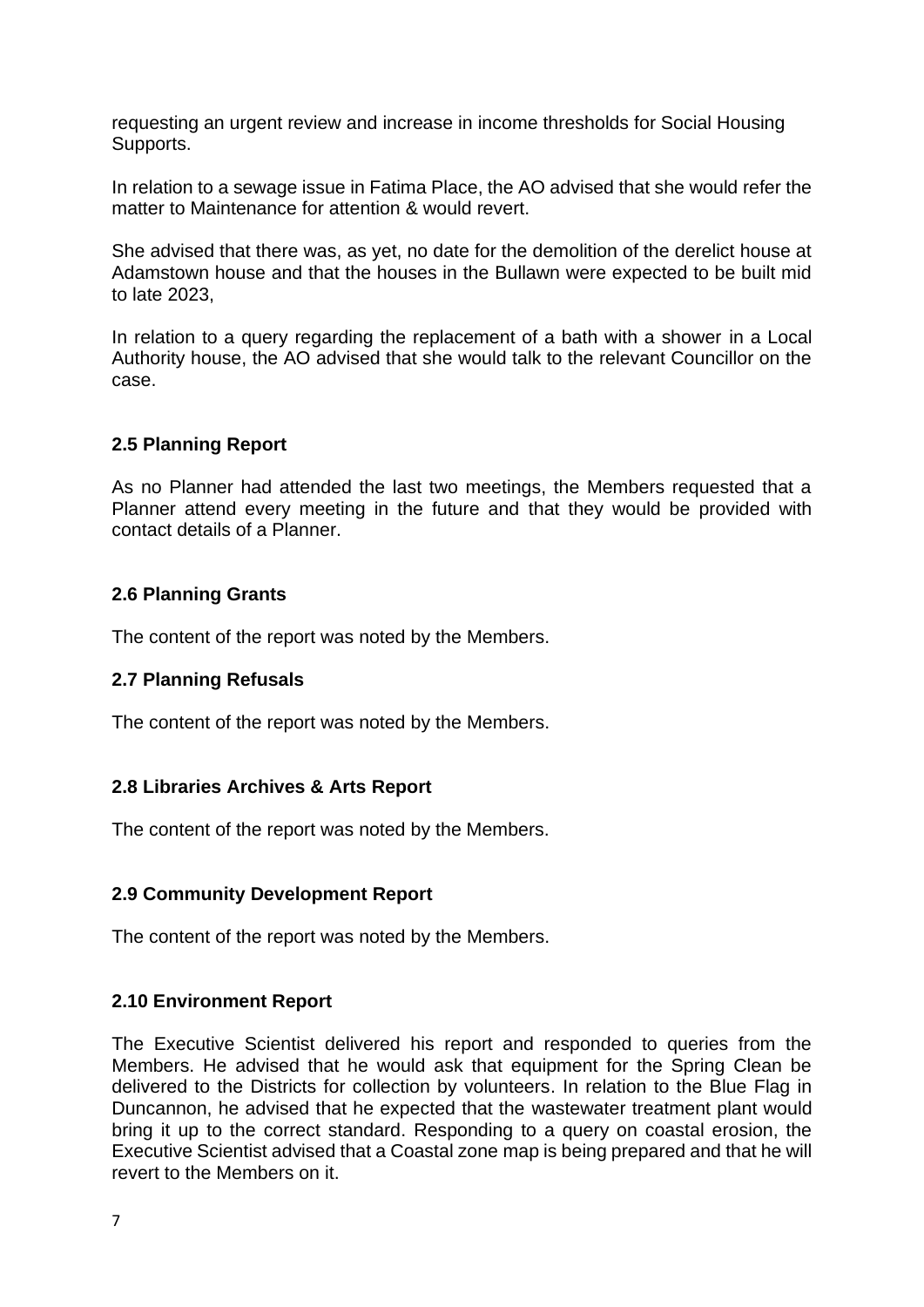requesting an urgent review and increase in income thresholds for Social Housing Supports.

In relation to a sewage issue in Fatima Place, the AO advised that she would refer the matter to Maintenance for attention & would revert.

She advised that there was, as yet, no date for the demolition of the derelict house at Adamstown house and that the houses in the Bullawn were expected to be built mid to late 2023,

In relation to a query regarding the replacement of a bath with a shower in a Local Authority house, the AO advised that she would talk to the relevant Councillor on the case.

# **2.5 Planning Report**

As no Planner had attended the last two meetings, the Members requested that a Planner attend every meeting in the future and that they would be provided with contact details of a Planner.

## **2.6 Planning Grants**

The content of the report was noted by the Members.

### **2.7 Planning Refusals**

The content of the report was noted by the Members.

### **2.8 Libraries Archives & Arts Report**

The content of the report was noted by the Members.

### **2.9 Community Development Report**

The content of the report was noted by the Members.

### **2.10 Environment Report**

The Executive Scientist delivered his report and responded to queries from the Members. He advised that he would ask that equipment for the Spring Clean be delivered to the Districts for collection by volunteers. In relation to the Blue Flag in Duncannon, he advised that he expected that the wastewater treatment plant would bring it up to the correct standard. Responding to a query on coastal erosion, the Executive Scientist advised that a Coastal zone map is being prepared and that he will revert to the Members on it.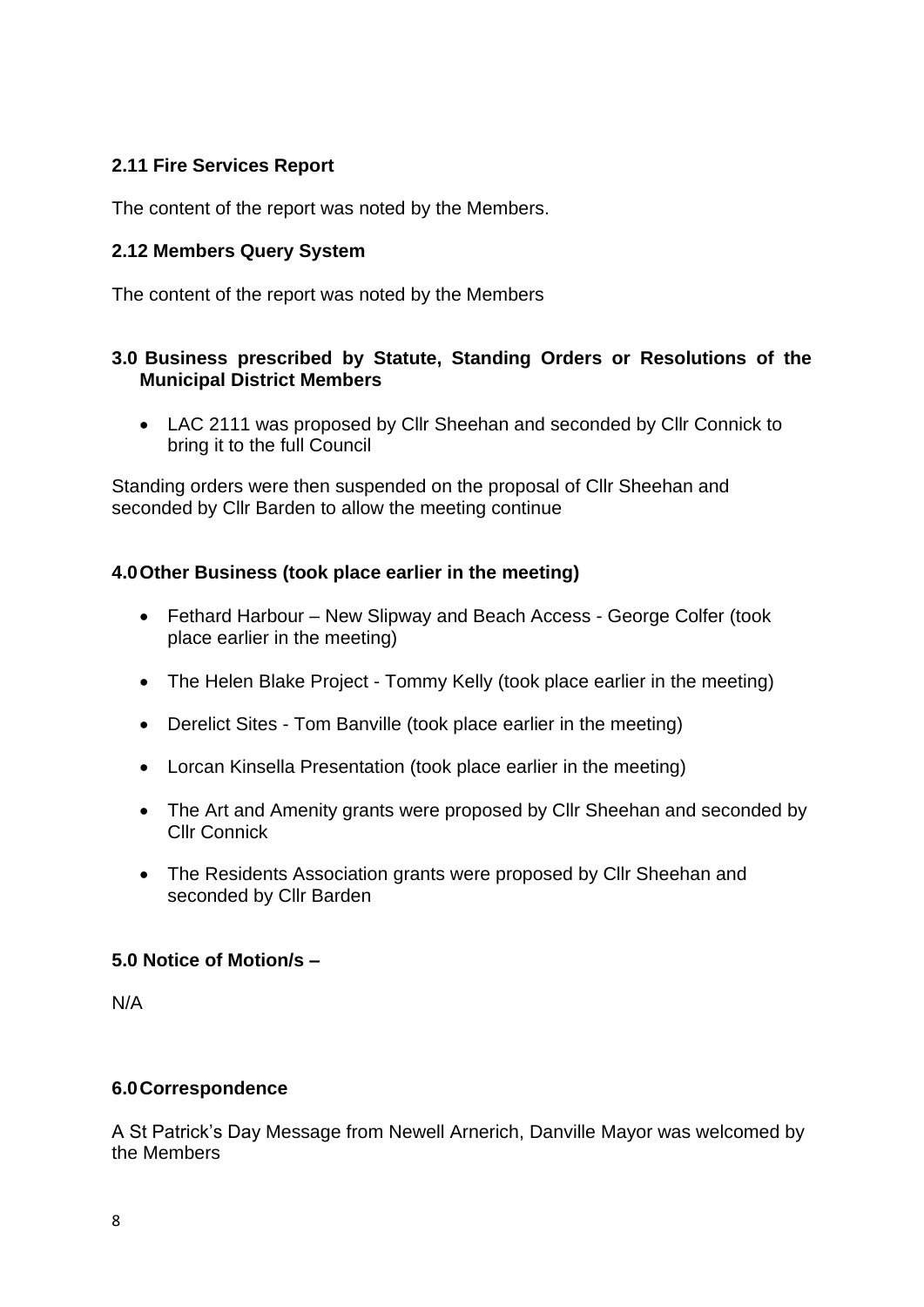# **2.11 Fire Services Report**

The content of the report was noted by the Members.

# **2.12 Members Query System**

The content of the report was noted by the Members

## **3.0 Business prescribed by Statute, Standing Orders or Resolutions of the Municipal District Members**

• LAC 2111 was proposed by Cllr Sheehan and seconded by Cllr Connick to bring it to the full Council

Standing orders were then suspended on the proposal of Cllr Sheehan and seconded by Cllr Barden to allow the meeting continue

## **4.0Other Business (took place earlier in the meeting)**

- Fethard Harbour New Slipway and Beach Access George Colfer (took place earlier in the meeting)
- The Helen Blake Project Tommy Kelly (took place earlier in the meeting)
- Derelict Sites Tom Banville (took place earlier in the meeting)
- Lorcan Kinsella Presentation (took place earlier in the meeting)
- The Art and Amenity grants were proposed by Cllr Sheehan and seconded by Cllr Connick
- The Residents Association grants were proposed by Cllr Sheehan and seconded by Cllr Barden

### **5.0 Notice of Motion/s –**

N/A

### **6.0Correspondence**

A St Patrick's Day Message from Newell Arnerich, Danville Mayor was welcomed by the Members